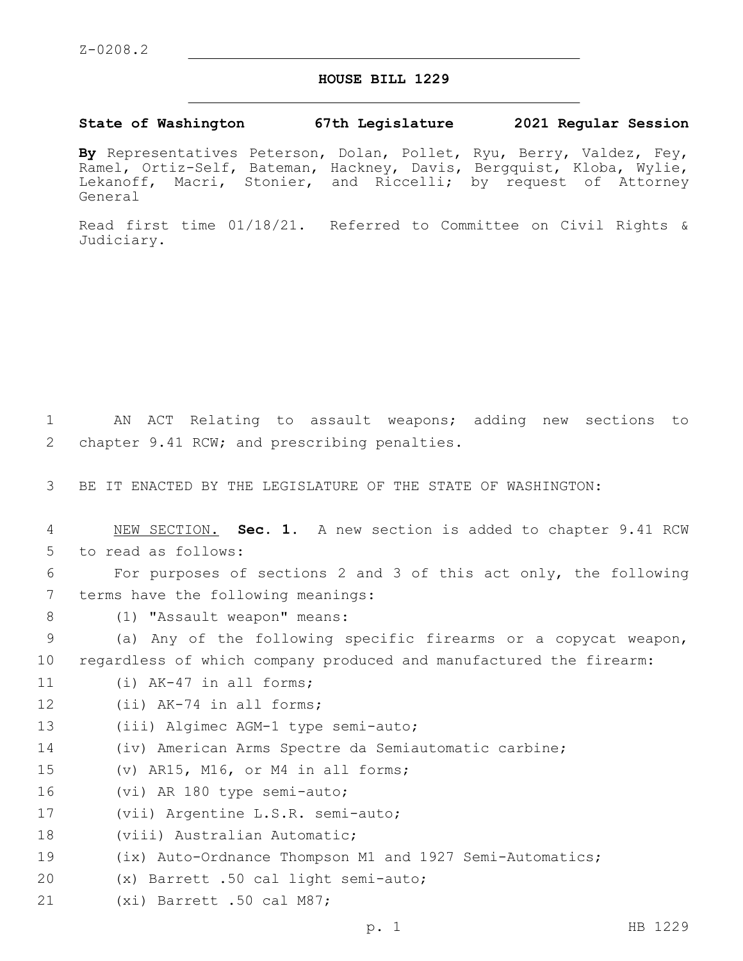## **HOUSE BILL 1229**

## **State of Washington 67th Legislature 2021 Regular Session**

**By** Representatives Peterson, Dolan, Pollet, Ryu, Berry, Valdez, Fey, Ramel, Ortiz-Self, Bateman, Hackney, Davis, Bergquist, Kloba, Wylie, Lekanoff, Macri, Stonier, and Riccelli; by request of Attorney General

Read first time 01/18/21. Referred to Committee on Civil Rights & Judiciary.

1 AN ACT Relating to assault weapons; adding new sections to 2 chapter 9.41 RCW; and prescribing penalties.

3 BE IT ENACTED BY THE LEGISLATURE OF THE STATE OF WASHINGTON:

4 NEW SECTION. **Sec. 1.** A new section is added to chapter 9.41 RCW 5 to read as follows: 6 For purposes of sections 2 and 3 of this act only, the following 7 terms have the following meanings: 8 (1) "Assault weapon" means: 9 (a) Any of the following specific firearms or a copycat weapon, 10 regardless of which company produced and manufactured the firearm: 11 (i) AK-47 in all forms; 12 (ii) AK-74 in all forms; 13 (iii) Algimec AGM-1 type semi-auto; 14 (iv) American Arms Spectre da Semiautomatic carbine; 15 (v) AR15, M16, or M4 in all forms; 16 (vi) AR 180 type semi-auto; 17 (vii) Argentine L.S.R. semi-auto; 18 (viii) Australian Automatic; 19 (ix) Auto-Ordnance Thompson M1 and 1927 Semi-Automatics; (x) Barrett .50 cal light semi-auto;20 21 (xi) Barrett .50 cal M87;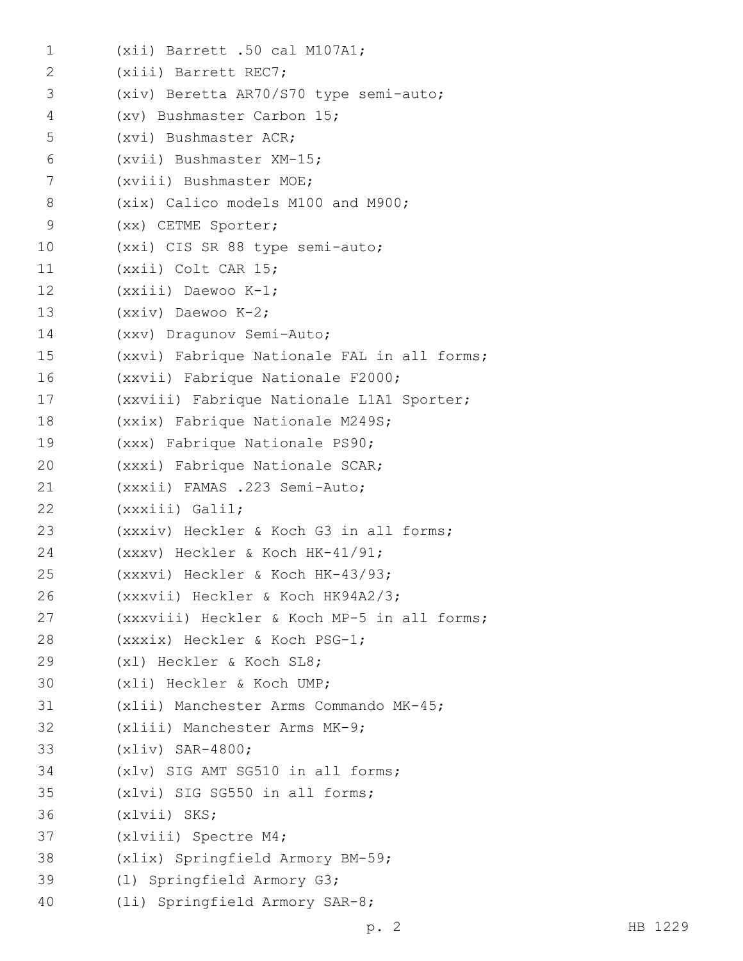| $\mathbf 1$  | $(xii)$ Barrett .50 cal M107A1;             |
|--------------|---------------------------------------------|
| $\mathbf{2}$ | (xiii) Barrett REC7;                        |
| 3            | (xiv) Beretta AR70/S70 type semi-auto;      |
| 4            | (xv) Bushmaster Carbon 15;                  |
| 5            | (xvi) Bushmaster ACR;                       |
| 6            | (xvii) Bushmaster XM-15;                    |
| 7            | (xviii) Bushmaster MOE;                     |
| 8            | (xix) Calico models M100 and M900;          |
| 9            | (xx) CETME Sporter;                         |
| 10           | (xxi) CIS SR 88 type semi-auto;             |
| 11           | (xxii) Colt CAR 15;                         |
| 12           | $(xxiii)$ Daewoo K-1;                       |
| 13           | $(xxiv)$ Daewoo K-2;                        |
| 14           | (xxv) Dragunov Semi-Auto;                   |
| 15           | (xxvi) Fabrique Nationale FAL in all forms; |
| 16           | (xxvii) Fabrique Nationale F2000;           |
| 17           | (xxviii) Fabrique Nationale L1A1 Sporter;   |
| 18           | (xxix) Fabrique Nationale M249S;            |
| 19           | (xxx) Fabrique Nationale PS90;              |
| 20           | (xxxi) Fabrique Nationale SCAR;             |
| 21           | (xxxii) FAMAS .223 Semi-Auto;               |
| 22           | (xxxiii) Galil;                             |
| 23           | (xxxiv) Heckler & Koch G3 in all forms;     |
| 24           | $(xxxv)$ Heckler & Koch HK-41/91;           |
| 25           | (xxxvi) Heckler & Koch HK-43/93;            |
| 26           | (xxxvii) Heckler & Koch HK94A2/3;           |
| 27           | (xxxviii) Heckler & Koch MP-5 in all forms; |
| 28           | (xxxix) Heckler & Koch PSG-1;               |
| 29           | (x1) Heckler & Koch SL8;                    |
| 30           | (xli) Heckler & Koch UMP;                   |
| 31           | (xlii) Manchester Arms Commando MK-45;      |
| 32           | (xliii) Manchester Arms MK-9;               |
| 33           | $(xliv)$ SAR-4800;                          |
| 34           | (xlv) SIG AMT SG510 in all forms;           |
| 35           | (xlvi) SIG SG550 in all forms;              |
| 36           | $(xlvii)$ SKS;                              |
| 37           | (xlviii) Spectre M4;                        |
| 38           | (xlix) Springfield Armory BM-59;            |
| 39           | (1) Springfield Armory G3;                  |
| 40           | (li) Springfield Armory SAR-8;              |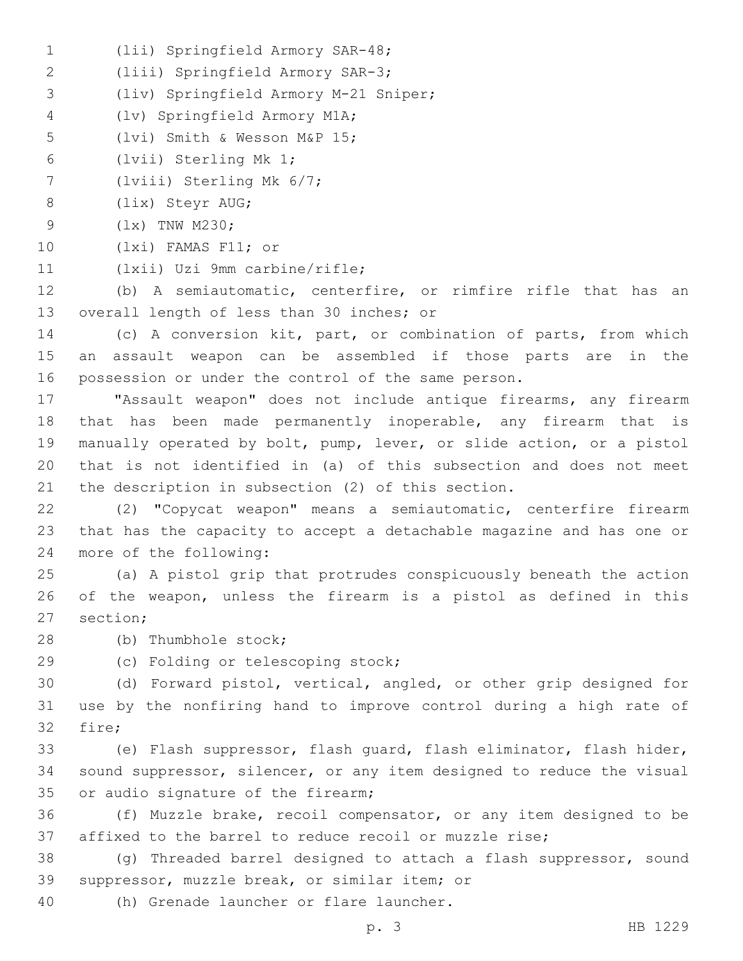- (lii) Springfield Armory SAR-48;1
- (liii) Springfield Armory SAR-3;2
- (liv) Springfield Armory M-21 Sniper;3
- (lv) Springfield Armory M1A;4
- 5 (lvi) Smith & Wesson M&P 15;
- 6 (lvii) Sterling Mk 1;
- $7$  (lviii) Sterling Mk  $6/7$ ;
- 8 (lix) Steyr AUG;
- 9 (1x) TNW M230;
- 10 (lxi) FAMAS F11; or
- 11 (lxii) Uzi 9mm carbine/rifle;

12 (b) A semiautomatic, centerfire, or rimfire rifle that has an 13 overall length of less than 30 inches; or

14 (c) A conversion kit, part, or combination of parts, from which 15 an assault weapon can be assembled if those parts are in the 16 possession or under the control of the same person.

 "Assault weapon" does not include antique firearms, any firearm that has been made permanently inoperable, any firearm that is manually operated by bolt, pump, lever, or slide action, or a pistol that is not identified in (a) of this subsection and does not meet the description in subsection (2) of this section.

22 (2) "Copycat weapon" means a semiautomatic, centerfire firearm 23 that has the capacity to accept a detachable magazine and has one or 24 more of the following:

25 (a) A pistol grip that protrudes conspicuously beneath the action 26 of the weapon, unless the firearm is a pistol as defined in this 27 section:

- 28 (b) Thumbhole stock;
- 
- 29 (c) Folding or telescoping stock;

30 (d) Forward pistol, vertical, angled, or other grip designed for 31 use by the nonfiring hand to improve control during a high rate of 32 fire;

33 (e) Flash suppressor, flash guard, flash eliminator, flash hider, 34 sound suppressor, silencer, or any item designed to reduce the visual 35 or audio signature of the firearm;

36 (f) Muzzle brake, recoil compensator, or any item designed to be 37 affixed to the barrel to reduce recoil or muzzle rise;

38 (g) Threaded barrel designed to attach a flash suppressor, sound 39 suppressor, muzzle break, or similar item; or

40 (h) Grenade launcher or flare launcher.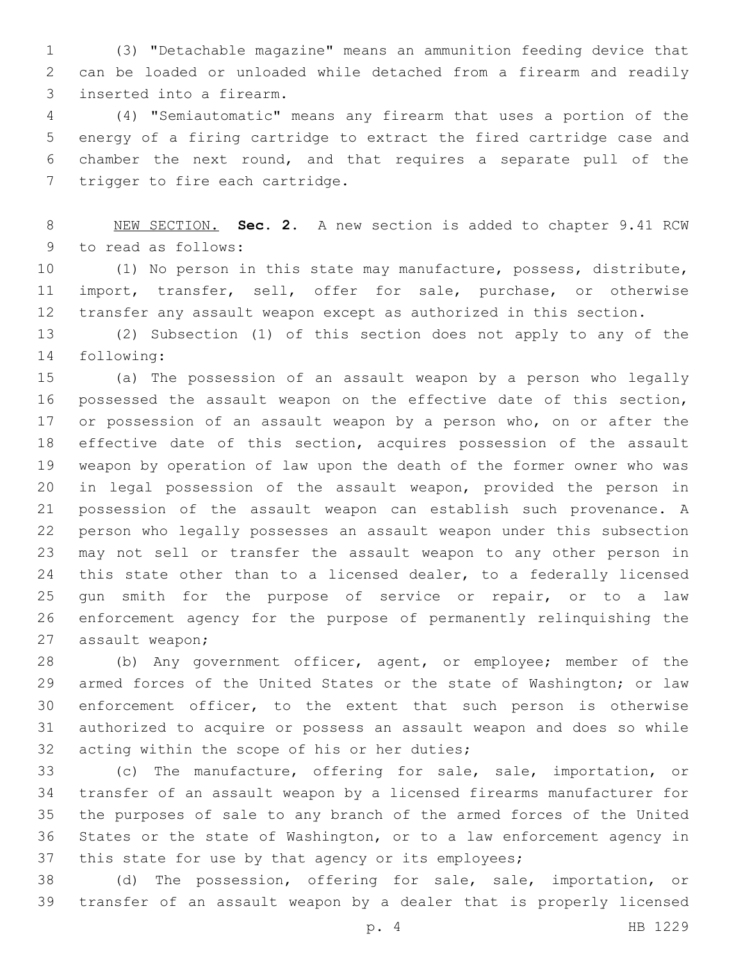(3) "Detachable magazine" means an ammunition feeding device that can be loaded or unloaded while detached from a firearm and readily 3 inserted into a firearm.

 (4) "Semiautomatic" means any firearm that uses a portion of the energy of a firing cartridge to extract the fired cartridge case and chamber the next round, and that requires a separate pull of the 7 trigger to fire each cartridge.

 NEW SECTION. **Sec. 2.** A new section is added to chapter 9.41 RCW 9 to read as follows:

 (1) No person in this state may manufacture, possess, distribute, import, transfer, sell, offer for sale, purchase, or otherwise transfer any assault weapon except as authorized in this section.

 (2) Subsection (1) of this section does not apply to any of the 14 following:

 (a) The possession of an assault weapon by a person who legally possessed the assault weapon on the effective date of this section, 17 or possession of an assault weapon by a person who, on or after the effective date of this section, acquires possession of the assault weapon by operation of law upon the death of the former owner who was in legal possession of the assault weapon, provided the person in possession of the assault weapon can establish such provenance. A person who legally possesses an assault weapon under this subsection may not sell or transfer the assault weapon to any other person in 24 this state other than to a licensed dealer, to a federally licensed gun smith for the purpose of service or repair, or to a law enforcement agency for the purpose of permanently relinquishing the 27 assault weapon;

 (b) Any government officer, agent, or employee; member of the armed forces of the United States or the state of Washington; or law enforcement officer, to the extent that such person is otherwise authorized to acquire or possess an assault weapon and does so while 32 acting within the scope of his or her duties;

 (c) The manufacture, offering for sale, sale, importation, or transfer of an assault weapon by a licensed firearms manufacturer for the purposes of sale to any branch of the armed forces of the United States or the state of Washington, or to a law enforcement agency in 37 this state for use by that agency or its employees;

 (d) The possession, offering for sale, sale, importation, or transfer of an assault weapon by a dealer that is properly licensed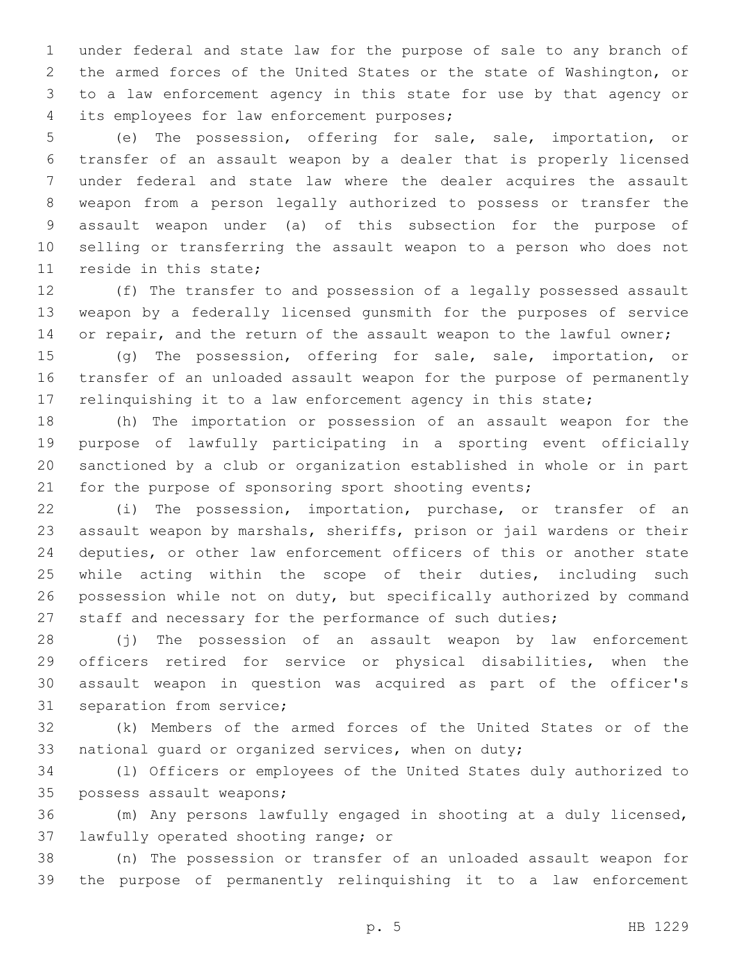under federal and state law for the purpose of sale to any branch of the armed forces of the United States or the state of Washington, or to a law enforcement agency in this state for use by that agency or 4 its employees for law enforcement purposes;

 (e) The possession, offering for sale, sale, importation, or transfer of an assault weapon by a dealer that is properly licensed under federal and state law where the dealer acquires the assault weapon from a person legally authorized to possess or transfer the assault weapon under (a) of this subsection for the purpose of selling or transferring the assault weapon to a person who does not 11 reside in this state;

 (f) The transfer to and possession of a legally possessed assault weapon by a federally licensed gunsmith for the purposes of service 14 or repair, and the return of the assault weapon to the lawful owner;

 (g) The possession, offering for sale, sale, importation, or transfer of an unloaded assault weapon for the purpose of permanently relinquishing it to a law enforcement agency in this state;

 (h) The importation or possession of an assault weapon for the purpose of lawfully participating in a sporting event officially sanctioned by a club or organization established in whole or in part 21 for the purpose of sponsoring sport shooting events;

 (i) The possession, importation, purchase, or transfer of an assault weapon by marshals, sheriffs, prison or jail wardens or their deputies, or other law enforcement officers of this or another state while acting within the scope of their duties, including such possession while not on duty, but specifically authorized by command staff and necessary for the performance of such duties;

 (j) The possession of an assault weapon by law enforcement officers retired for service or physical disabilities, when the assault weapon in question was acquired as part of the officer's 31 separation from service;

 (k) Members of the armed forces of the United States or of the national guard or organized services, when on duty;

 (l) Officers or employees of the United States duly authorized to 35 possess assault weapons;

 (m) Any persons lawfully engaged in shooting at a duly licensed, 37 lawfully operated shooting range; or

 (n) The possession or transfer of an unloaded assault weapon for the purpose of permanently relinquishing it to a law enforcement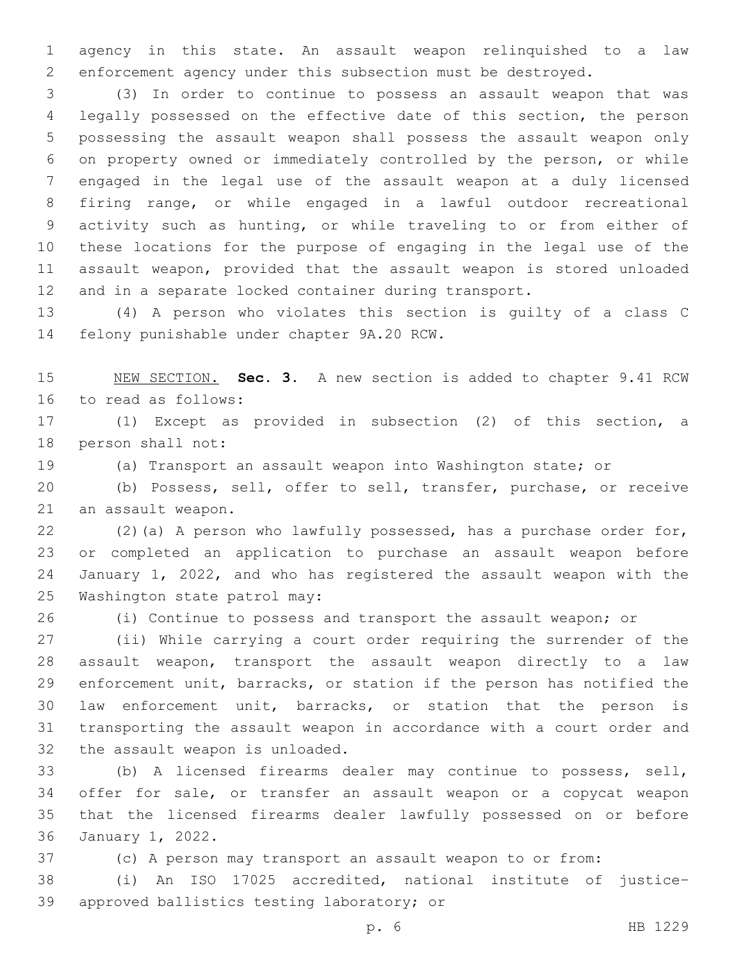agency in this state. An assault weapon relinquished to a law enforcement agency under this subsection must be destroyed.

 (3) In order to continue to possess an assault weapon that was legally possessed on the effective date of this section, the person possessing the assault weapon shall possess the assault weapon only on property owned or immediately controlled by the person, or while engaged in the legal use of the assault weapon at a duly licensed firing range, or while engaged in a lawful outdoor recreational activity such as hunting, or while traveling to or from either of these locations for the purpose of engaging in the legal use of the assault weapon, provided that the assault weapon is stored unloaded and in a separate locked container during transport.

 (4) A person who violates this section is guilty of a class C 14 felony punishable under chapter 9A.20 RCW.

 NEW SECTION. **Sec. 3.** A new section is added to chapter 9.41 RCW 16 to read as follows:

 (1) Except as provided in subsection (2) of this section, a 18 person shall not:

(a) Transport an assault weapon into Washington state; or

 (b) Possess, sell, offer to sell, transfer, purchase, or receive 21 an assault weapon.

 (2)(a) A person who lawfully possessed, has a purchase order for, or completed an application to purchase an assault weapon before January 1, 2022, and who has registered the assault weapon with the 25 Washington state patrol may:

(i) Continue to possess and transport the assault weapon; or

 (ii) While carrying a court order requiring the surrender of the assault weapon, transport the assault weapon directly to a law enforcement unit, barracks, or station if the person has notified the law enforcement unit, barracks, or station that the person is transporting the assault weapon in accordance with a court order and 32 the assault weapon is unloaded.

 (b) A licensed firearms dealer may continue to possess, sell, offer for sale, or transfer an assault weapon or a copycat weapon that the licensed firearms dealer lawfully possessed on or before 36 January 1, 2022.

(c) A person may transport an assault weapon to or from:

 (i) An ISO 17025 accredited, national institute of justice– 39 approved ballistics testing laboratory; or